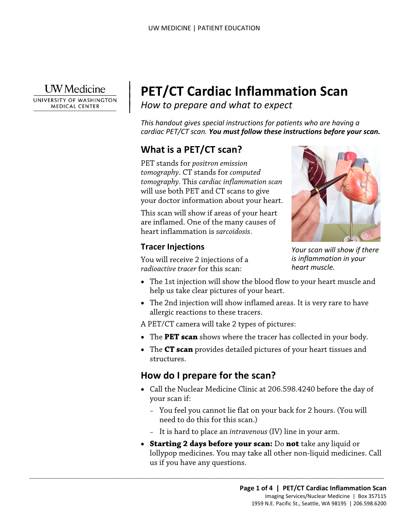

 $\overline{\phantom{a}}$ 

 $\vert$ 

UNIVERSITY OF WASHINGTON **MEDICAL CENTER** 

# | **PET/CT Cardiac Inflammation Scan**

*How to prepare and what to expect* |

 *cardiac PET/CT scan. You must follow these instructions before your scan. This handout gives special instructions for patients who are having a* 

## **What is a PET/CT scan?**

PET stands for *positron emission tomography*. CT stands for *computed tomography.* This *cardiac inflammation scan*  will use both PET and CT scans to give your doctor information about your heart.

 heart inflammation is *sarcoidosis*. This scan will show if areas of your heart are inflamed. One of the many causes of

#### **Tracer Injections**

You will receive 2 injections of a *radioactive tracer* for this scan:



*Your scan will show if there is inflammation in your heart muscle.* 

- The 1st injection will show the blood flow to your heart muscle and help us take clear pictures of your heart.
- The 2nd injection will show inflamed areas. It is very rare to have allergic reactions to these tracers.

A PET/CT camera will take 2 types of pictures:

- The **PET scan** shows where the tracer has collected in your body.
- The **CT scan** provides detailed pictures of your heart tissues and structures.

#### **How do I prepare for the scan?**

 $\_$  ,  $\_$  ,  $\_$  ,  $\_$  ,  $\_$  ,  $\_$  ,  $\_$  ,  $\_$  ,  $\_$  ,  $\_$  ,  $\_$  ,  $\_$  ,  $\_$  ,  $\_$  ,  $\_$  ,  $\_$  ,  $\_$  ,  $\_$  ,  $\_$  ,  $\_$  ,  $\_$  ,  $\_$  ,  $\_$  ,  $\_$  ,  $\_$  ,  $\_$  ,  $\_$  ,  $\_$  ,  $\_$  ,  $\_$  ,  $\_$  ,  $\_$  ,  $\_$  ,  $\_$  ,  $\_$  ,  $\_$  ,  $\_$  ,

- • Call the Nuclear Medicine Clinic at 206.598.4240 before the day of your scan if:
	- You feel you cannot lie flat on your back for 2 hours. (You will need to do this for this scan.)
	- It is hard to place an *intravenous* (IV) line in your arm.
- • **Starting 2 days before your scan:** Do **not** take any liquid or lollypop medicines. You may take all other non-liquid medicines. Call us if you have any questions.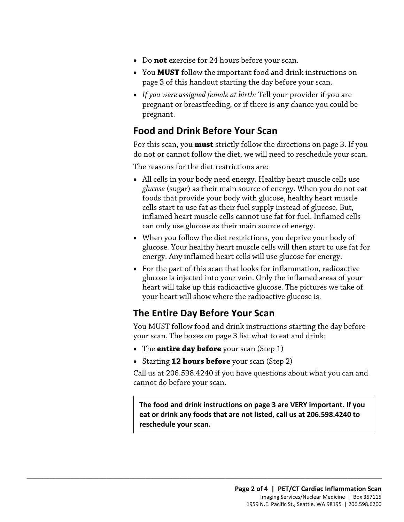- Do **not** exercise for 24 hours before your scan.
- You **MUST** follow the important food and drink instructions on page 3 of this handout starting the day before your scan.
- *If you were assigned female at birth:* Tell your provider if you are pregnant or breastfeeding, or if there is any chance you could be pregnant.

### **Food and Drink Before Your Scan**

do not or cannot follow the diet, we will need to reschedule your scan.<br>The reasons for the diet restrictions are: For this scan, you **must** strictly follow the directions on page 3. If you

- glacose (sugar) as their main source of energy. When you do not e<br>foods that provide your body with glucose, healthy heart muscle<br>cells start to use fat as their fuel supply instead of glucose. But,<br>inflamed heart muscle c • All cells in your body need energy. Healthy heart muscle cells use *glucose* (sugar) as their main source of energy. When you do not eat foods that provide your body with glucose, healthy heart muscle cells start to use fat as their fuel supply instead of glucose. But, inflamed heart muscle cells cannot use fat for fuel. Inflamed cells can only use glucose as their main source of energy.
	- When you follow the diet restrictions, you deprive your body of glucose. Your healthy heart muscle cells will then start to use fat for energy. Any inflamed heart cells will use glucose for energy.
	- For the part of this scan that looks for inflammation, radioactive glucose is injected into your vein. Only the inflamed areas of your heart will take up this radioactive glucose. The pictures we take of your heart will show where the radioactive glucose is.

#### **The Entire Day Before Your Scan**

You MUST follow food and drink instructions starting the day before your scan. The boxes on page 3 list what to eat and drink:

• The **entire day before** your scan (Step 1)

 $\_$  ,  $\_$  ,  $\_$  ,  $\_$  ,  $\_$  ,  $\_$  ,  $\_$  ,  $\_$  ,  $\_$  ,  $\_$  ,  $\_$  ,  $\_$  ,  $\_$  ,  $\_$  ,  $\_$  ,  $\_$  ,  $\_$  ,  $\_$  ,  $\_$  ,  $\_$  ,  $\_$  ,  $\_$  ,  $\_$  ,  $\_$  ,  $\_$  ,  $\_$  ,  $\_$  ,  $\_$  ,  $\_$  ,  $\_$  ,  $\_$  ,  $\_$  ,  $\_$  ,  $\_$  ,  $\_$  ,  $\_$  ,  $\_$  ,

• Starting **12 hours before** your scan (Step 2)

Call us at 206.598.4240 if you have questions about what you can and cannot do before your scan.

**The food and drink instructions on page 3 are VERY important. If you eat or drink any foods that are not listed, call us at 206.598.4240 to reschedule your scan.**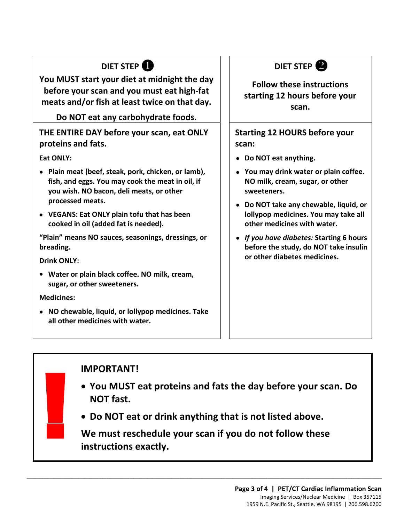## **DIET STEP**

 **meats and/or fish at least twice on that day. You MUST start your diet at midnight the day before your scan and you must eat high-fat** 

#### **Do NOT eat any carbohydrate foods.**

#### **THE ENTIRE DAY before your scan, eat ONLY proteins and fats.**

**Eat ONLY:** 

- **Plain meat (beef, steak, pork, chicken, or lamb), fish, and eggs. You may cook the meat in oil, if you wish. NO bacon, deli meats, or other processed meats.**
- **VEGANS: Eat ONLY plain tofu that has been cooked in oil (added fat is needed).**

**"Plain" means NO sauces, seasonings, dressings, or breading.** 

**Drink ONLY:** 

**• Water or plain black coffee. NO milk, cream, sugar, or other sweeteners.** 

**Medicines:** 

**!** 

• **NO chewable, liquid, or lollypop medicines. Take all other medicines with water.**



#### **Follow these instructions starting 12 hours before your scan.**

**Starting 12 HOURS before your scan:** 

- **Do NOT eat anything.**
- **You may drink water or plain coffee. NO milk, cream, sugar, or other sweeteners.**
- **Do NOT take any chewable, liquid, or lollypop medicines. You may take all other medicines with water.**
- *If you have diabetes:* **Starting 6 hours before the study, do NOT take insulin or other diabetes medicines.**  wish. NO bacon, deli meats, or other<br>
cessed meats.<br>
CESSED meats.<br>
ARS: Eat ONLY plain tofu that has been<br>
ked in oil (added fat is needed).<br>
The DO NOT take any chewable, liquid,<br>
lollypop medicines. You may take a<br>
othe

#### **IMPORTANT!**

- **You MUST eat proteins and fats the day before your scan. Do NOT fast.**
- **Do NOT eat or drink anything that is not listed above.**

 **We must reschedule your scan if you do not follow these instructions exactly.** 

 $\_$  ,  $\_$  ,  $\_$  ,  $\_$  ,  $\_$  ,  $\_$  ,  $\_$  ,  $\_$  ,  $\_$  ,  $\_$  ,  $\_$  ,  $\_$  ,  $\_$  ,  $\_$  ,  $\_$  ,  $\_$  ,  $\_$  ,  $\_$  ,  $\_$  ,  $\_$  ,  $\_$  ,  $\_$  ,  $\_$  ,  $\_$  ,  $\_$  ,  $\_$  ,  $\_$  ,  $\_$  ,  $\_$  ,  $\_$  ,  $\_$  ,  $\_$  ,  $\_$  ,  $\_$  ,  $\_$  ,  $\_$  ,  $\_$  ,